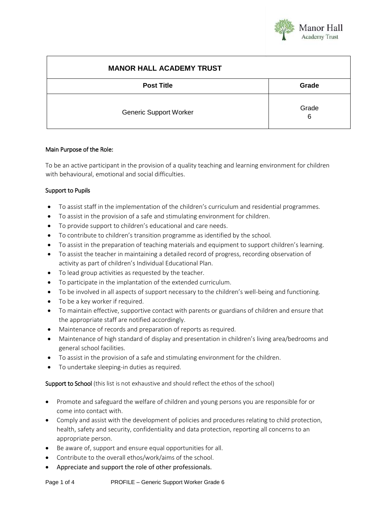

| <b>MANOR HALL ACADEMY TRUST</b> |            |
|---------------------------------|------------|
| <b>Post Title</b>               | Grade      |
| <b>Generic Support Worker</b>   | Grade<br>6 |

#### Main Purpose of the Role:

To be an active participant in the provision of a quality teaching and learning environment for children with behavioural, emotional and social difficulties.

## Support to Pupils

- To assist staff in the implementation of the children's curriculum and residential programmes.
- To assist in the provision of a safe and stimulating environment for children.
- To provide support to children's educational and care needs.
- To contribute to children's transition programme as identified by the school.
- To assist in the preparation of teaching materials and equipment to support children's learning.
- To assist the teacher in maintaining a detailed record of progress, recording observation of activity as part of children's Individual Educational Plan.
- To lead group activities as requested by the teacher.
- To participate in the implantation of the extended curriculum.
- To be involved in all aspects of support necessary to the children's well-being and functioning.
- To be a key worker if required.
- To maintain effective, supportive contact with parents or guardians of children and ensure that the appropriate staff are notified accordingly.
- Maintenance of records and preparation of reports as required.
- Maintenance of high standard of display and presentation in children's living area/bedrooms and general school facilities.
- To assist in the provision of a safe and stimulating environment for the children.
- To undertake sleeping-in duties as required.

Support to School (this list is not exhaustive and should reflect the ethos of the school)

- Promote and safeguard the welfare of children and young persons you are responsible for or come into contact with.
- Comply and assist with the development of policies and procedures relating to child protection, health, safety and security, confidentiality and data protection, reporting all concerns to an appropriate person.
- Be aware of, support and ensure equal opportunities for all.
- Contribute to the overall ethos/work/aims of the school.
- Appreciate and support the role of other professionals.

Page 1 of 4 PROFILE – Generic Support Worker Grade 6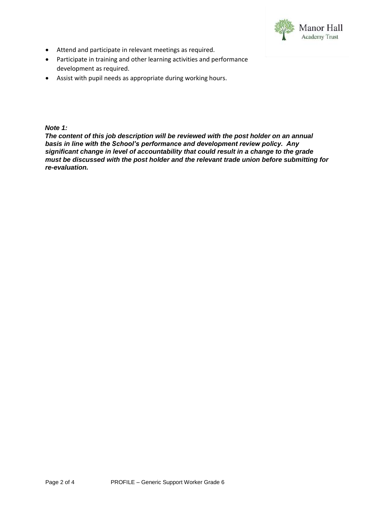

- Attend and participate in relevant meetings as required.
- Participate in training and other learning activities and performance development as required.
- Assist with pupil needs as appropriate during working hours.

## *Note 1:*

*The content of this job description will be reviewed with the post holder on an annual basis in line with the School's performance and development review policy. Any significant change in level of accountability that could result in a change to the grade must be discussed with the post holder and the relevant trade union before submitting for re-evaluation.*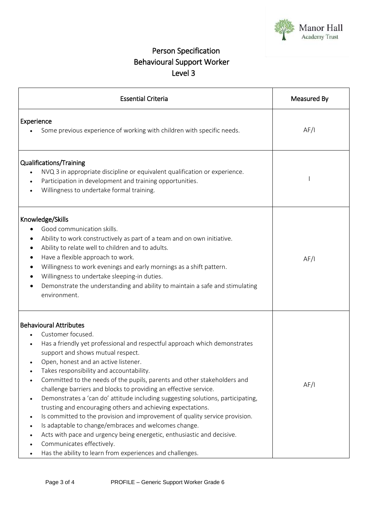

# Person Specification Behavioural Support Worker Level 3

| <b>Essential Criteria</b>                                                                                                                                                                                                                                                                                                                                                                                                                                                                                                                                                                                                                                                                                                                                                                                                                                                                                     | Measured By |
|---------------------------------------------------------------------------------------------------------------------------------------------------------------------------------------------------------------------------------------------------------------------------------------------------------------------------------------------------------------------------------------------------------------------------------------------------------------------------------------------------------------------------------------------------------------------------------------------------------------------------------------------------------------------------------------------------------------------------------------------------------------------------------------------------------------------------------------------------------------------------------------------------------------|-------------|
| Experience<br>Some previous experience of working with children with specific needs.                                                                                                                                                                                                                                                                                                                                                                                                                                                                                                                                                                                                                                                                                                                                                                                                                          | AF/I        |
| Qualifications/Training<br>NVQ 3 in appropriate discipline or equivalent qualification or experience.<br>Participation in development and training opportunities.<br>Willingness to undertake formal training.                                                                                                                                                                                                                                                                                                                                                                                                                                                                                                                                                                                                                                                                                                |             |
| Knowledge/Skills<br>Good communication skills.<br>Ability to work constructively as part of a team and on own initiative.<br>Ability to relate well to children and to adults.<br>Have a flexible approach to work.<br>Willingness to work evenings and early mornings as a shift pattern.<br>Willingness to undertake sleeping-in duties.<br>٠<br>Demonstrate the understanding and ability to maintain a safe and stimulating<br>٠<br>environment.                                                                                                                                                                                                                                                                                                                                                                                                                                                          | AF/I        |
| <b>Behavioural Attributes</b><br>Customer focused.<br>Has a friendly yet professional and respectful approach which demonstrates<br>support and shows mutual respect.<br>Open, honest and an active listener.<br>Takes responsibility and accountability.<br>Committed to the needs of the pupils, parents and other stakeholders and<br>challenge barriers and blocks to providing an effective service.<br>Demonstrates a 'can do' attitude including suggesting solutions, participating,<br>trusting and encouraging others and achieving expectations.<br>Is committed to the provision and improvement of quality service provision.<br>$\bullet$<br>Is adaptable to change/embraces and welcomes change.<br>$\bullet$<br>Acts with pace and urgency being energetic, enthusiastic and decisive.<br>Communicates effectively.<br>Has the ability to learn from experiences and challenges.<br>$\bullet$ | AF/I        |